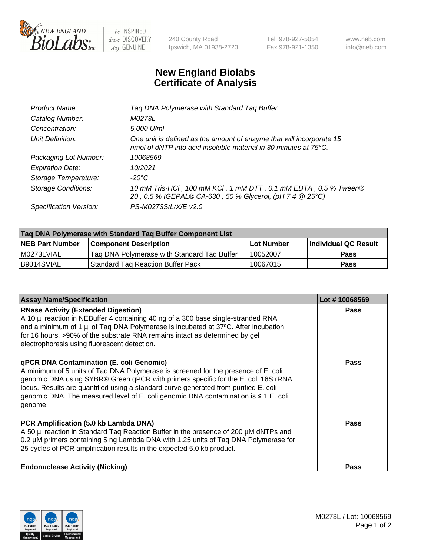

be INSPIRED drive DISCOVERY stay GENUINE

240 County Road Ipswich, MA 01938-2723 Tel 978-927-5054 Fax 978-921-1350 www.neb.com info@neb.com

## **New England Biolabs Certificate of Analysis**

| Tag DNA Polymerase with Standard Tag Buffer                                                                                              |
|------------------------------------------------------------------------------------------------------------------------------------------|
| M0273L                                                                                                                                   |
| 5,000 U/ml                                                                                                                               |
| One unit is defined as the amount of enzyme that will incorporate 15<br>nmol of dNTP into acid insoluble material in 30 minutes at 75°C. |
| 10068569                                                                                                                                 |
| 10/2021                                                                                                                                  |
| $-20^{\circ}$ C                                                                                                                          |
| 10 mM Tris-HCl, 100 mM KCl, 1 mM DTT, 0.1 mM EDTA, 0.5 % Tween®<br>20, 0.5 % IGEPAL® CA-630, 50 % Glycerol, (pH 7.4 @ 25°C)              |
| PS-M0273S/L/X/E v2.0                                                                                                                     |
|                                                                                                                                          |

| Tag DNA Polymerase with Standard Tag Buffer Component List |                                             |                   |                      |  |  |
|------------------------------------------------------------|---------------------------------------------|-------------------|----------------------|--|--|
| <b>NEB Part Number</b>                                     | Component Description_                      | <b>Lot Number</b> | Individual QC Result |  |  |
| M0273LVIAL                                                 | Tag DNA Polymerase with Standard Tag Buffer | 10052007          | Pass                 |  |  |
| B9014SVIAL                                                 | <b>Standard Tag Reaction Buffer Pack</b>    | 10067015          | <b>Pass</b>          |  |  |

| <b>Assay Name/Specification</b>                                                                                                                                                                                                                                                                                                                                                                               | Lot #10068569 |
|---------------------------------------------------------------------------------------------------------------------------------------------------------------------------------------------------------------------------------------------------------------------------------------------------------------------------------------------------------------------------------------------------------------|---------------|
| <b>RNase Activity (Extended Digestion)</b><br>A 10 µl reaction in NEBuffer 4 containing 40 ng of a 300 base single-stranded RNA<br>and a minimum of 1 µl of Taq DNA Polymerase is incubated at 37°C. After incubation<br>for 16 hours, >90% of the substrate RNA remains intact as determined by gel<br>electrophoresis using fluorescent detection.                                                          | <b>Pass</b>   |
| qPCR DNA Contamination (E. coli Genomic)<br>A minimum of 5 units of Taq DNA Polymerase is screened for the presence of E. coli<br>genomic DNA using SYBR® Green qPCR with primers specific for the E. coli 16S rRNA<br>locus. Results are quantified using a standard curve generated from purified E. coli<br>genomic DNA. The measured level of E. coli genomic DNA contamination is ≤ 1 E. coli<br>genome. | Pass          |
| PCR Amplification (5.0 kb Lambda DNA)<br>A 50 µl reaction in Standard Taq Reaction Buffer in the presence of 200 µM dNTPs and<br>0.2 µM primers containing 5 ng Lambda DNA with 1.25 units of Tag DNA Polymerase for<br>25 cycles of PCR amplification results in the expected 5.0 kb product.                                                                                                                | <b>Pass</b>   |
| <b>Endonuclease Activity (Nicking)</b>                                                                                                                                                                                                                                                                                                                                                                        | Pass          |